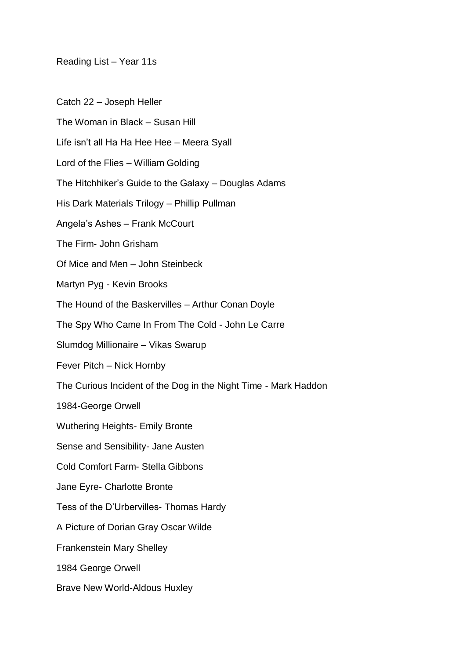Reading List – Year 11s

Catch 22 – Joseph Heller

The Woman in Black – Susan Hill

Life isn't all Ha Ha Hee Hee – Meera Syall

Lord of the Flies – William Golding

The Hitchhiker's Guide to the Galaxy – Douglas Adams

His Dark Materials Trilogy – Phillip Pullman

Angela's Ashes – Frank McCourt

The Firm- John Grisham

Of Mice and Men – John Steinbeck

Martyn Pyg - Kevin Brooks

The Hound of the Baskervilles – Arthur Conan Doyle

The Spy Who Came In From The Cold - John Le Carre

Slumdog Millionaire – Vikas Swarup

Fever Pitch – Nick Hornby

The Curious Incident of the Dog in the Night Time - Mark Haddon

1984-George Orwell

Wuthering Heights- Emily Bronte

Sense and Sensibility- Jane Austen

Cold Comfort Farm- Stella Gibbons

Jane Eyre- Charlotte Bronte

Tess of the D'Urbervilles- Thomas Hardy

A Picture of Dorian Gray Oscar Wilde

Frankenstein Mary Shelley

1984 George Orwell

Brave New World-Aldous Huxley